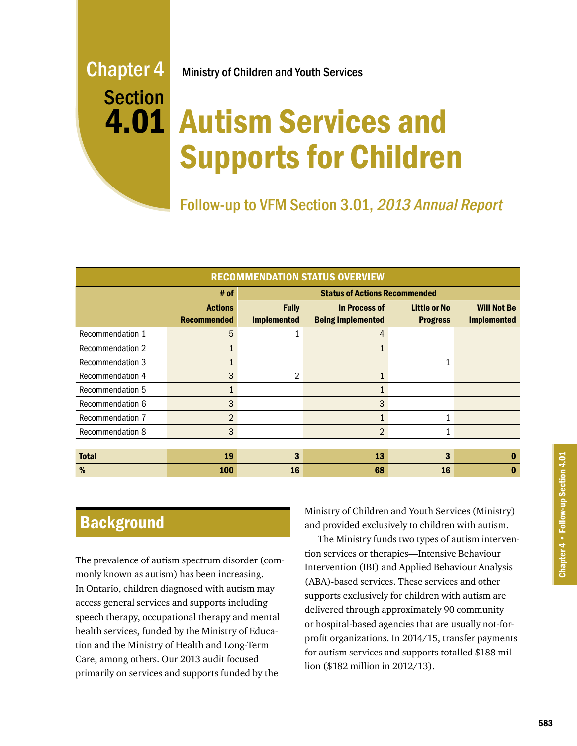# Section 4.01

Chapter 4 Ministry of Children and Youth Services

# Autism Services and Supports for Children

Follow-up to VFM Section 3.01, 2013 Annual Report

| <b>RECOMMENDATION STATUS OVERVIEW</b> |                                      |                                      |                                                  |                                        |                                          |
|---------------------------------------|--------------------------------------|--------------------------------------|--------------------------------------------------|----------------------------------------|------------------------------------------|
|                                       | # of                                 | <b>Status of Actions Recommended</b> |                                                  |                                        |                                          |
|                                       | <b>Actions</b><br><b>Recommended</b> | <b>Fully</b><br><b>Implemented</b>   | <b>In Process of</b><br><b>Being Implemented</b> | <b>Little or No</b><br><b>Progress</b> | <b>Will Not Be</b><br><b>Implemented</b> |
| Recommendation 1                      | 5                                    |                                      | $\overline{4}$                                   |                                        |                                          |
| <b>Recommendation 2</b>               | 1                                    |                                      |                                                  |                                        |                                          |
| Recommendation 3                      |                                      |                                      |                                                  | 1                                      |                                          |
| Recommendation 4                      | 3                                    | $\overline{2}$                       | 1                                                |                                        |                                          |
| Recommendation 5                      | $\mathbf{1}$                         |                                      |                                                  |                                        |                                          |
| Recommendation 6                      | 3                                    |                                      | 3                                                |                                        |                                          |
| Recommendation 7                      | $\overline{2}$                       |                                      |                                                  | 1                                      |                                          |
| <b>Recommendation 8</b>               | 3                                    |                                      | $\overline{2}$                                   |                                        |                                          |
|                                       |                                      |                                      |                                                  |                                        |                                          |
| <b>Total</b>                          | 19                                   | 3                                    | 13                                               | 3                                      | 0                                        |
| %                                     | <b>100</b>                           | 16                                   | 68                                               | 16                                     | O                                        |

# **Background**

The prevalence of autism spectrum disorder (commonly known as autism) has been increasing. In Ontario, children diagnosed with autism may access general services and supports including speech therapy, occupational therapy and mental health services, funded by the Ministry of Education and the Ministry of Health and Long-Term Care, among others. Our 2013 audit focused primarily on services and supports funded by the

Ministry of Children and Youth Services (Ministry) and provided exclusively to children with autism.

The Ministry funds two types of autism intervention services or therapies—Intensive Behaviour Intervention (IBI) and Applied Behaviour Analysis (ABA)-based services. These services and other supports exclusively for children with autism are delivered through approximately 90 community or hospital-based agencies that are usually not-forprofit organizations. In 2014/15, transfer payments for autism services and supports totalled \$188 million (\$182 million in 2012/13).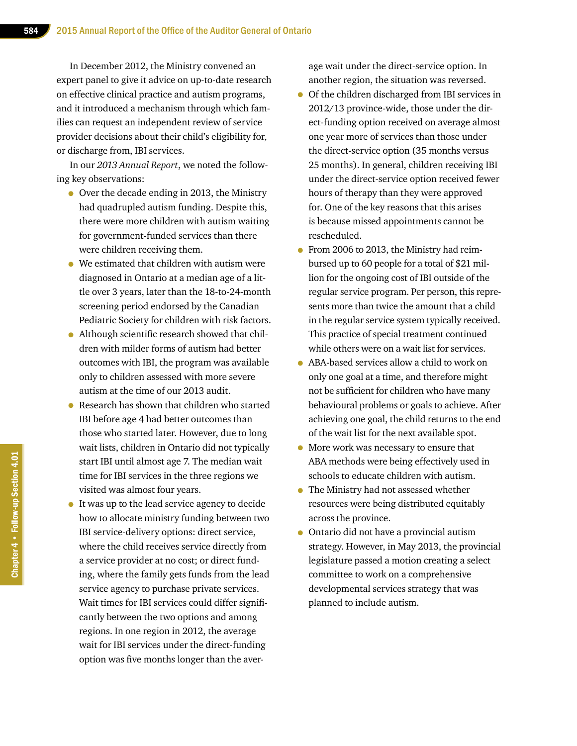In December 2012, the Ministry convened an expert panel to give it advice on up-to-date research on effective clinical practice and autism programs, and it introduced a mechanism through which families can request an independent review of service provider decisions about their child's eligibility for, or discharge from, IBI services.

In our *2013 Annual Report*, we noted the following key observations:

- Over the decade ending in 2013, the Ministry had quadrupled autism funding. Despite this, there were more children with autism waiting for government-funded services than there were children receiving them.
- We estimated that children with autism were diagnosed in Ontario at a median age of a little over 3 years, later than the 18-to-24-month screening period endorsed by the Canadian Pediatric Society for children with risk factors.
- Although scientific research showed that children with milder forms of autism had better outcomes with IBI, the program was available only to children assessed with more severe autism at the time of our 2013 audit.
- Research has shown that children who started IBI before age 4 had better outcomes than those who started later. However, due to long wait lists, children in Ontario did not typically start IBI until almost age 7. The median wait time for IBI services in the three regions we visited was almost four years.
- It was up to the lead service agency to decide how to allocate ministry funding between two IBI service-delivery options: direct service, where the child receives service directly from a service provider at no cost; or direct funding, where the family gets funds from the lead service agency to purchase private services. Wait times for IBI services could differ significantly between the two options and among regions. In one region in 2012, the average wait for IBI services under the direct-funding option was five months longer than the aver-

age wait under the direct-service option. In another region, the situation was reversed.

- Of the children discharged from IBI services in 2012/13 province-wide, those under the direct-funding option received on average almost one year more of services than those under the direct-service option (35 months versus 25 months). In general, children receiving IBI under the direct-service option received fewer hours of therapy than they were approved for. One of the key reasons that this arises is because missed appointments cannot be rescheduled.
- From 2006 to 2013, the Ministry had reimbursed up to 60 people for a total of \$21 million for the ongoing cost of IBI outside of the regular service program. Per person, this represents more than twice the amount that a child in the regular service system typically received. This practice of special treatment continued while others were on a wait list for services.
- ABA-based services allow a child to work on only one goal at a time, and therefore might not be sufficient for children who have many behavioural problems or goals to achieve. After achieving one goal, the child returns to the end of the wait list for the next available spot.
- More work was necessary to ensure that ABA methods were being effectively used in schools to educate children with autism.
- The Ministry had not assessed whether resources were being distributed equitably across the province.
- Ontario did not have a provincial autism strategy. However, in May 2013, the provincial legislature passed a motion creating a select committee to work on a comprehensive developmental services strategy that was planned to include autism.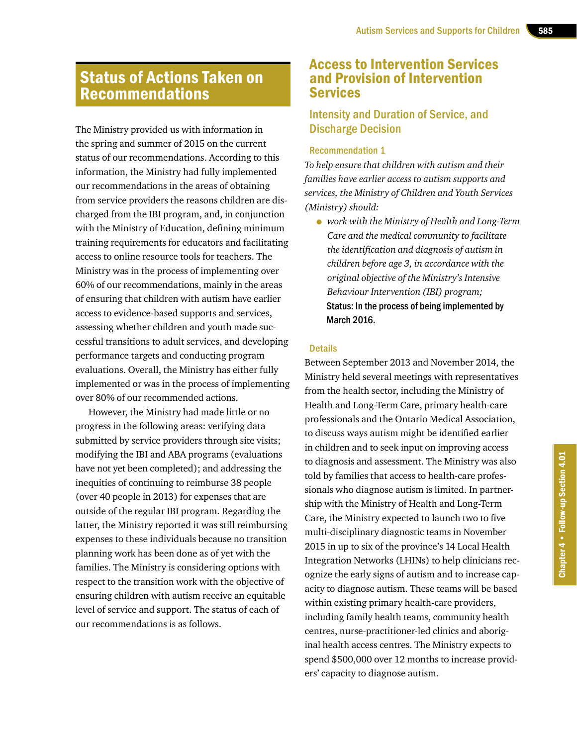# Status of Actions Taken on Recommendations

The Ministry provided us with information in the spring and summer of 2015 on the current status of our recommendations. According to this information, the Ministry had fully implemented our recommendations in the areas of obtaining from service providers the reasons children are discharged from the IBI program, and, in conjunction with the Ministry of Education, defining minimum training requirements for educators and facilitating access to online resource tools for teachers. The Ministry was in the process of implementing over 60% of our recommendations, mainly in the areas of ensuring that children with autism have earlier access to evidence-based supports and services, assessing whether children and youth made successful transitions to adult services, and developing performance targets and conducting program evaluations. Overall, the Ministry has either fully implemented or was in the process of implementing over 80% of our recommended actions.

However, the Ministry had made little or no progress in the following areas: verifying data submitted by service providers through site visits; modifying the IBI and ABA programs (evaluations have not yet been completed); and addressing the inequities of continuing to reimburse 38 people (over 40 people in 2013) for expenses that are outside of the regular IBI program. Regarding the latter, the Ministry reported it was still reimbursing expenses to these individuals because no transition planning work has been done as of yet with the families. The Ministry is considering options with respect to the transition work with the objective of ensuring children with autism receive an equitable level of service and support. The status of each of our recommendations is as follows.

# Access to Intervention Services and Provision of Intervention Services

# Intensity and Duration of Service, and Discharge Decision

#### Recommendation 1

*To help ensure that children with autism and their families have earlier access to autism supports and services, the Ministry of Children and Youth Services (Ministry) should:* 

• *work with the Ministry of Health and Long-Term Care and the medical community to facilitate the identification and diagnosis of autism in children before age 3, in accordance with the original objective of the Ministry's Intensive Behaviour Intervention (IBI) program;*  Status: In the process of being implemented by March 2016.

#### **Details**

Between September 2013 and November 2014, the Ministry held several meetings with representatives from the health sector, including the Ministry of Health and Long-Term Care, primary health-care professionals and the Ontario Medical Association, to discuss ways autism might be identified earlier in children and to seek input on improving access to diagnosis and assessment. The Ministry was also told by families that access to health-care professionals who diagnose autism is limited. In partnership with the Ministry of Health and Long-Term Care, the Ministry expected to launch two to five multi-disciplinary diagnostic teams in November 2015 in up to six of the province's 14 Local Health Integration Networks (LHINs) to help clinicians recognize the early signs of autism and to increase capacity to diagnose autism. These teams will be based within existing primary health-care providers, including family health teams, community health centres, nurse-practitioner-led clinics and aboriginal health access centres. The Ministry expects to spend \$500,000 over 12 months to increase providers' capacity to diagnose autism.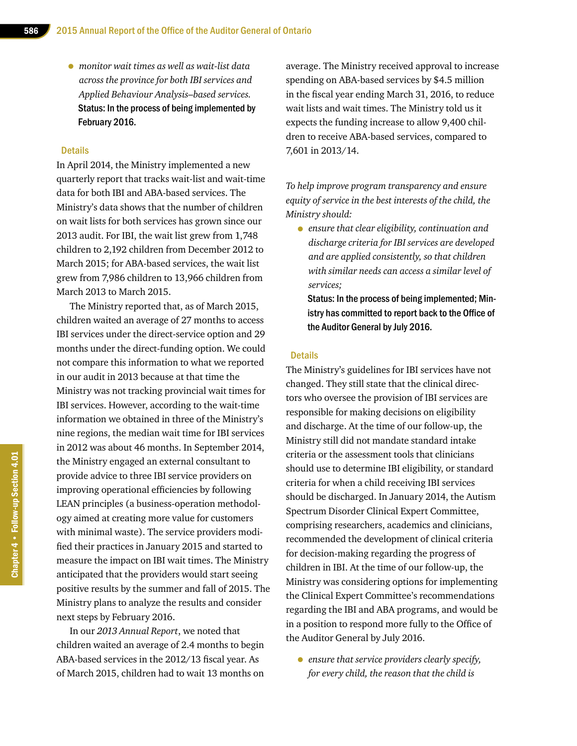• *monitor wait times as well as wait-list data across the province for both IBI services and Applied Behaviour Analysis–based services.*  Status: In the process of being implemented by February 2016.

#### **Details**

In April 2014, the Ministry implemented a new quarterly report that tracks wait-list and wait-time data for both IBI and ABA-based services. The Ministry's data shows that the number of children on wait lists for both services has grown since our 2013 audit. For IBI, the wait list grew from 1,748 children to 2,192 children from December 2012 to March 2015; for ABA-based services, the wait list grew from 7,986 children to 13,966 children from March 2013 to March 2015.

The Ministry reported that, as of March 2015, children waited an average of 27 months to access IBI services under the direct-service option and 29 months under the direct-funding option. We could not compare this information to what we reported in our audit in 2013 because at that time the Ministry was not tracking provincial wait times for IBI services. However, according to the wait-time information we obtained in three of the Ministry's nine regions, the median wait time for IBI services in 2012 was about 46 months. In September 2014, the Ministry engaged an external consultant to provide advice to three IBI service providers on improving operational efficiencies by following LEAN principles (a business-operation methodology aimed at creating more value for customers with minimal waste). The service providers modified their practices in January 2015 and started to measure the impact on IBI wait times. The Ministry anticipated that the providers would start seeing positive results by the summer and fall of 2015. The Ministry plans to analyze the results and consider next steps by February 2016.

In our *2013 Annual Report*, we noted that children waited an average of 2.4 months to begin ABA-based services in the 2012/13 fiscal year. As of March 2015, children had to wait 13 months on

average. The Ministry received approval to increase spending on ABA-based services by \$4.5 million in the fiscal year ending March 31, 2016, to reduce wait lists and wait times. The Ministry told us it expects the funding increase to allow 9,400 children to receive ABA-based services, compared to 7,601 in 2013/14.

*To help improve program transparency and ensure equity of service in the best interests of the child, the Ministry should:* 

• *ensure that clear eligibility, continuation and discharge criteria for IBI services are developed and are applied consistently, so that children with similar needs can access a similar level of services;*

Status: In the process of being implemented; Ministry has committed to report back to the Office of the Auditor General by July 2016.

#### **Details**

The Ministry's guidelines for IBI services have not changed. They still state that the clinical directors who oversee the provision of IBI services are responsible for making decisions on eligibility and discharge. At the time of our follow-up, the Ministry still did not mandate standard intake criteria or the assessment tools that clinicians should use to determine IBI eligibility, or standard criteria for when a child receiving IBI services should be discharged. In January 2014, the Autism Spectrum Disorder Clinical Expert Committee, comprising researchers, academics and clinicians, recommended the development of clinical criteria for decision-making regarding the progress of children in IBI. At the time of our follow-up, the Ministry was considering options for implementing the Clinical Expert Committee's recommendations regarding the IBI and ABA programs, and would be in a position to respond more fully to the Office of the Auditor General by July 2016.

• *ensure that service providers clearly specify, for every child, the reason that the child is*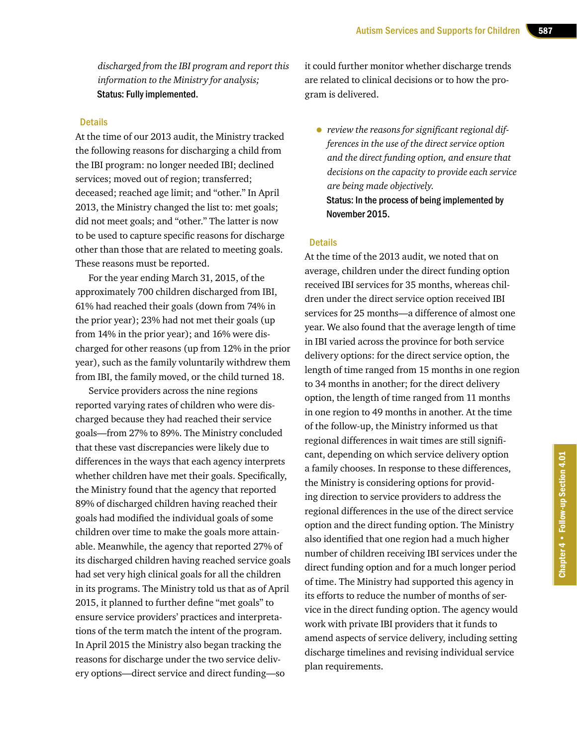*discharged from the IBI program and report this information to the Ministry for analysis;*  Status: Fully implemented.

#### **Details**

At the time of our 2013 audit, the Ministry tracked the following reasons for discharging a child from the IBI program: no longer needed IBI; declined services; moved out of region; transferred; deceased; reached age limit; and "other." In April 2013, the Ministry changed the list to: met goals; did not meet goals; and "other." The latter is now to be used to capture specific reasons for discharge other than those that are related to meeting goals. These reasons must be reported.

For the year ending March 31, 2015, of the approximately 700 children discharged from IBI, 61% had reached their goals (down from 74% in the prior year); 23% had not met their goals (up from 14% in the prior year); and 16% were discharged for other reasons (up from 12% in the prior year), such as the family voluntarily withdrew them from IBI, the family moved, or the child turned 18.

Service providers across the nine regions reported varying rates of children who were discharged because they had reached their service goals—from 27% to 89%. The Ministry concluded that these vast discrepancies were likely due to differences in the ways that each agency interprets whether children have met their goals. Specifically, the Ministry found that the agency that reported 89% of discharged children having reached their goals had modified the individual goals of some children over time to make the goals more attainable. Meanwhile, the agency that reported 27% of its discharged children having reached service goals had set very high clinical goals for all the children in its programs. The Ministry told us that as of April 2015, it planned to further define "met goals" to ensure service providers' practices and interpretations of the term match the intent of the program. In April 2015 the Ministry also began tracking the reasons for discharge under the two service delivery options—direct service and direct funding—so

it could further monitor whether discharge trends are related to clinical decisions or to how the program is delivered.

• *review the reasons for significant regional differences in the use of the direct service option and the direct funding option, and ensure that decisions on the capacity to provide each service are being made objectively.*  Status: In the process of being implemented by November 2015.

#### **Details**

At the time of the 2013 audit, we noted that on average, children under the direct funding option received IBI services for 35 months, whereas children under the direct service option received IBI services for 25 months—a difference of almost one year. We also found that the average length of time in IBI varied across the province for both service delivery options: for the direct service option, the length of time ranged from 15 months in one region to 34 months in another; for the direct delivery option, the length of time ranged from 11 months in one region to 49 months in another. At the time of the follow-up, the Ministry informed us that regional differences in wait times are still significant, depending on which service delivery option a family chooses. In response to these differences, the Ministry is considering options for providing direction to service providers to address the regional differences in the use of the direct service option and the direct funding option. The Ministry also identified that one region had a much higher number of children receiving IBI services under the direct funding option and for a much longer period of time. The Ministry had supported this agency in its efforts to reduce the number of months of service in the direct funding option. The agency would work with private IBI providers that it funds to amend aspects of service delivery, including setting discharge timelines and revising individual service plan requirements.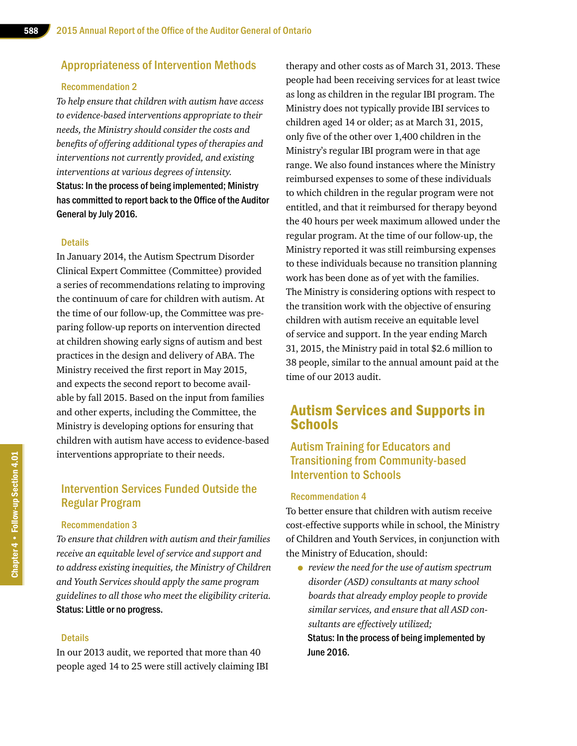#### Appropriateness of Intervention Methods

#### Recommendation 2

*To help ensure that children with autism have access to evidence-based interventions appropriate to their needs, the Ministry should consider the costs and benefits of offering additional types of therapies and interventions not currently provided, and existing interventions at various degrees of intensity.* Status: In the process of being implemented; Ministry has committed to report back to the Office of the Auditor General by July 2016.

#### **Details**

In January 2014, the Autism Spectrum Disorder Clinical Expert Committee (Committee) provided a series of recommendations relating to improving the continuum of care for children with autism. At the time of our follow-up, the Committee was preparing follow-up reports on intervention directed at children showing early signs of autism and best practices in the design and delivery of ABA. The Ministry received the first report in May 2015, and expects the second report to become available by fall 2015. Based on the input from families and other experts, including the Committee, the Ministry is developing options for ensuring that children with autism have access to evidence-based interventions appropriate to their needs.

# Intervention Services Funded Outside the Regular Program

#### Recommendation 3

*To ensure that children with autism and their families receive an equitable level of service and support and to address existing inequities, the Ministry of Children and Youth Services should apply the same program guidelines to all those who meet the eligibility criteria.* Status: Little or no progress.

#### **Details**

In our 2013 audit, we reported that more than 40 people aged 14 to 25 were still actively claiming IBI therapy and other costs as of March 31, 2013. These people had been receiving services for at least twice as long as children in the regular IBI program. The Ministry does not typically provide IBI services to children aged 14 or older; as at March 31, 2015, only five of the other over 1,400 children in the Ministry's regular IBI program were in that age range. We also found instances where the Ministry reimbursed expenses to some of these individuals to which children in the regular program were not entitled, and that it reimbursed for therapy beyond the 40 hours per week maximum allowed under the regular program. At the time of our follow-up, the Ministry reported it was still reimbursing expenses to these individuals because no transition planning work has been done as of yet with the families. The Ministry is considering options with respect to the transition work with the objective of ensuring children with autism receive an equitable level of service and support. In the year ending March 31, 2015, the Ministry paid in total \$2.6 million to 38 people, similar to the annual amount paid at the time of our 2013 audit.

# Autism Services and Supports in **Schools**

### Autism Training for Educators and Transitioning from Community-based Intervention to Schools

#### Recommendation 4

To better ensure that children with autism receive cost-effective supports while in school, the Ministry of Children and Youth Services, in conjunction with the Ministry of Education, should:

• *review the need for the use of autism spectrum disorder (ASD) consultants at many school boards that already employ people to provide similar services, and ensure that all ASD consultants are effectively utilized;* Status: In the process of being implemented by June 2016.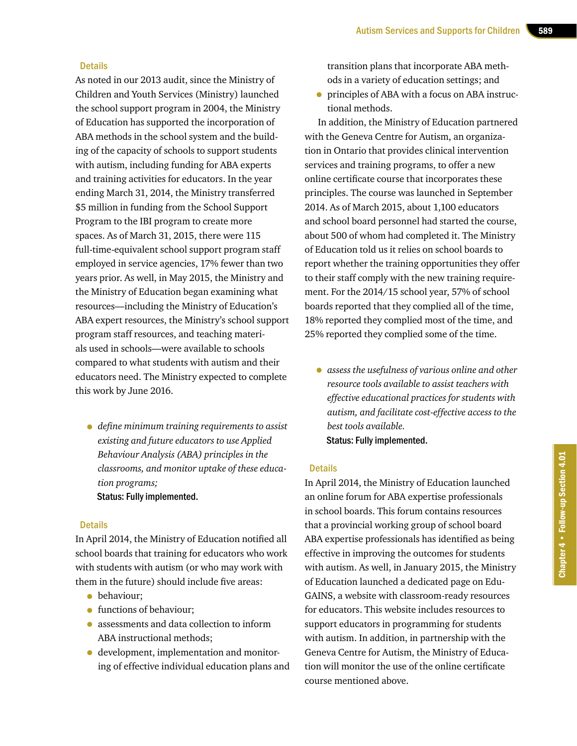#### **Details**

As noted in our 2013 audit, since the Ministry of Children and Youth Services (Ministry) launched the school support program in 2004, the Ministry of Education has supported the incorporation of ABA methods in the school system and the building of the capacity of schools to support students with autism, including funding for ABA experts and training activities for educators. In the year ending March 31, 2014, the Ministry transferred \$5 million in funding from the School Support Program to the IBI program to create more spaces. As of March 31, 2015, there were 115 full-time-equivalent school support program staff employed in service agencies, 17% fewer than two years prior. As well, in May 2015, the Ministry and the Ministry of Education began examining what resources—including the Ministry of Education's ABA expert resources, the Ministry's school support program staff resources, and teaching materials used in schools—were available to schools compared to what students with autism and their educators need. The Ministry expected to complete this work by June 2016.

• *define minimum training requirements to assist existing and future educators to use Applied Behaviour Analysis (ABA) principles in the classrooms, and monitor uptake of these education programs;* Status: Fully implemented.

#### **Details**

In April 2014, the Ministry of Education notified all school boards that training for educators who work with students with autism (or who may work with them in the future) should include five areas:

- behaviour;
- functions of behaviour:
- assessments and data collection to inform ABA instructional methods;
- development, implementation and monitoring of effective individual education plans and

transition plans that incorporate ABA methods in a variety of education settings; and

• principles of ABA with a focus on ABA instructional methods.

In addition, the Ministry of Education partnered with the Geneva Centre for Autism, an organization in Ontario that provides clinical intervention services and training programs, to offer a new online certificate course that incorporates these principles. The course was launched in September 2014. As of March 2015, about 1,100 educators and school board personnel had started the course, about 500 of whom had completed it. The Ministry of Education told us it relies on school boards to report whether the training opportunities they offer to their staff comply with the new training requirement. For the 2014/15 school year, 57% of school boards reported that they complied all of the time, 18% reported they complied most of the time, and 25% reported they complied some of the time.

• *assess the usefulness of various online and other resource tools available to assist teachers with effective educational practices for students with autism, and facilitate cost-effective access to the best tools available.* Status: Fully implemented.

#### **Details**

In April 2014, the Ministry of Education launched an online forum for ABA expertise professionals in school boards. This forum contains resources that a provincial working group of school board ABA expertise professionals has identified as being effective in improving the outcomes for students with autism. As well, in January 2015, the Ministry of Education launched a dedicated page on Edu-GAINS, a website with classroom-ready resources for educators. This website includes resources to support educators in programming for students with autism. In addition, in partnership with the Geneva Centre for Autism, the Ministry of Education will monitor the use of the online certificate course mentioned above.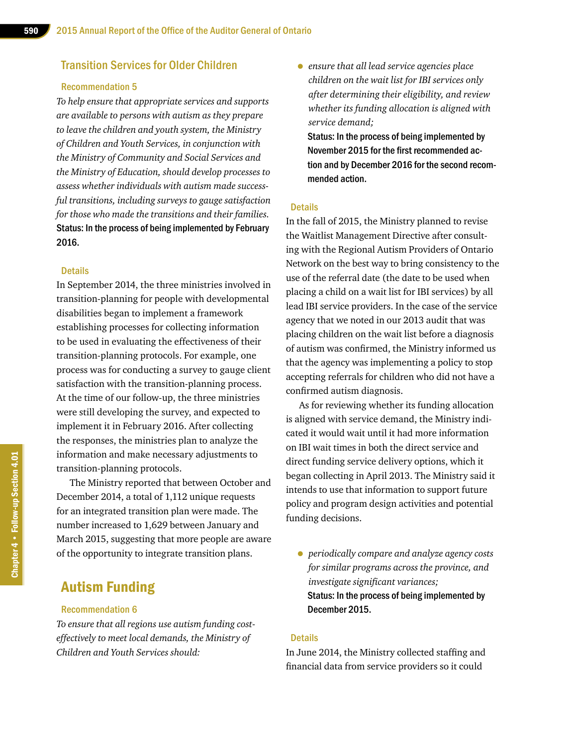#### Transition Services for Older Children

#### Recommendation 5

*To help ensure that appropriate services and supports are available to persons with autism as they prepare to leave the children and youth system, the Ministry of Children and Youth Services, in conjunction with the Ministry of Community and Social Services and the Ministry of Education, should develop processes to assess whether individuals with autism made successful transitions, including surveys to gauge satisfaction for those who made the transitions and their families.* Status: In the process of being implemented by February 2016.

#### **Details**

In September 2014, the three ministries involved in transition-planning for people with developmental disabilities began to implement a framework establishing processes for collecting information to be used in evaluating the effectiveness of their transition-planning protocols. For example, one process was for conducting a survey to gauge client satisfaction with the transition-planning process. At the time of our follow-up, the three ministries were still developing the survey, and expected to implement it in February 2016. After collecting the responses, the ministries plan to analyze the information and make necessary adjustments to transition-planning protocols.

The Ministry reported that between October and December 2014, a total of 1,112 unique requests for an integrated transition plan were made. The number increased to 1,629 between January and March 2015, suggesting that more people are aware of the opportunity to integrate transition plans.

# Autism Funding

#### Recommendation 6

*To ensure that all regions use autism funding costeffectively to meet local demands, the Ministry of Children and Youth Services should:* 

• *ensure that all lead service agencies place children on the wait list for IBI services only after determining their eligibility, and review whether its funding allocation is aligned with service demand;* 

Status: In the process of being implemented by November 2015 for the first recommended action and by December 2016 for the second recommended action.

#### **Details**

In the fall of 2015, the Ministry planned to revise the Waitlist Management Directive after consulting with the Regional Autism Providers of Ontario Network on the best way to bring consistency to the use of the referral date (the date to be used when placing a child on a wait list for IBI services) by all lead IBI service providers. In the case of the service agency that we noted in our 2013 audit that was placing children on the wait list before a diagnosis of autism was confirmed, the Ministry informed us that the agency was implementing a policy to stop accepting referrals for children who did not have a confirmed autism diagnosis.

As for reviewing whether its funding allocation is aligned with service demand, the Ministry indicated it would wait until it had more information on IBI wait times in both the direct service and direct funding service delivery options, which it began collecting in April 2013. The Ministry said it intends to use that information to support future policy and program design activities and potential funding decisions.

• *periodically compare and analyze agency costs for similar programs across the province, and investigate significant variances;*  Status: In the process of being implemented by December 2015.

#### **Details**

In June 2014, the Ministry collected staffing and financial data from service providers so it could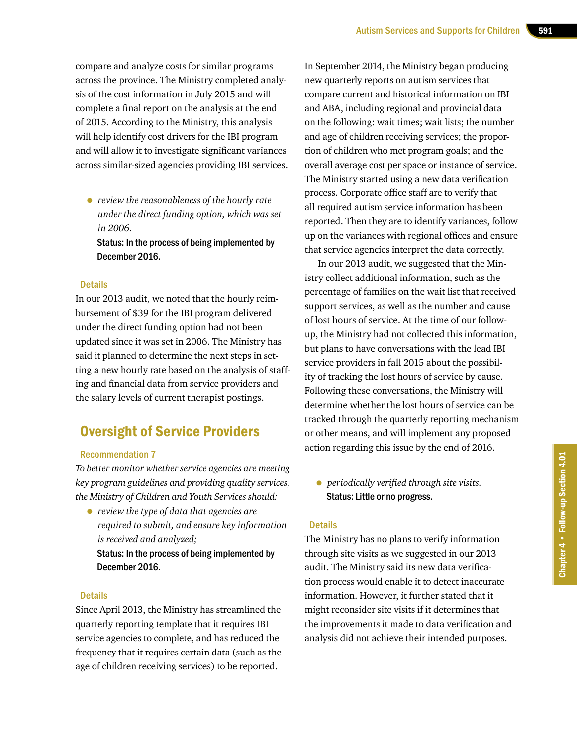compare and analyze costs for similar programs across the province. The Ministry completed analysis of the cost information in July 2015 and will complete a final report on the analysis at the end of 2015. According to the Ministry, this analysis will help identify cost drivers for the IBI program and will allow it to investigate significant variances across similar-sized agencies providing IBI services.

• *review the reasonableness of the hourly rate under the direct funding option, which was set in 2006.*

Status: In the process of being implemented by December 2016.

#### **Details**

In our 2013 audit, we noted that the hourly reimbursement of \$39 for the IBI program delivered under the direct funding option had not been updated since it was set in 2006. The Ministry has said it planned to determine the next steps in setting a new hourly rate based on the analysis of staffing and financial data from service providers and the salary levels of current therapist postings.

# Oversight of Service Providers

#### Recommendation 7

*To better monitor whether service agencies are meeting key program guidelines and providing quality services, the Ministry of Children and Youth Services should:*

• *review the type of data that agencies are required to submit, and ensure key information is received and analyzed;*  Status: In the process of being implemented by December 2016.

#### **Details**

Since April 2013, the Ministry has streamlined the quarterly reporting template that it requires IBI service agencies to complete, and has reduced the frequency that it requires certain data (such as the age of children receiving services) to be reported.

In September 2014, the Ministry began producing new quarterly reports on autism services that compare current and historical information on IBI and ABA, including regional and provincial data on the following: wait times; wait lists; the number and age of children receiving services; the proportion of children who met program goals; and the overall average cost per space or instance of service. The Ministry started using a new data verification process. Corporate office staff are to verify that all required autism service information has been reported. Then they are to identify variances, follow up on the variances with regional offices and ensure that service agencies interpret the data correctly.

In our 2013 audit, we suggested that the Ministry collect additional information, such as the percentage of families on the wait list that received support services, as well as the number and cause of lost hours of service. At the time of our followup, the Ministry had not collected this information, but plans to have conversations with the lead IBI service providers in fall 2015 about the possibility of tracking the lost hours of service by cause. Following these conversations, the Ministry will determine whether the lost hours of service can be tracked through the quarterly reporting mechanism or other means, and will implement any proposed action regarding this issue by the end of 2016.

• *periodically verified through site visits.* Status: Little or no progress.

#### **Details**

The Ministry has no plans to verify information through site visits as we suggested in our 2013 audit. The Ministry said its new data verification process would enable it to detect inaccurate information. However, it further stated that it might reconsider site visits if it determines that the improvements it made to data verification and analysis did not achieve their intended purposes.